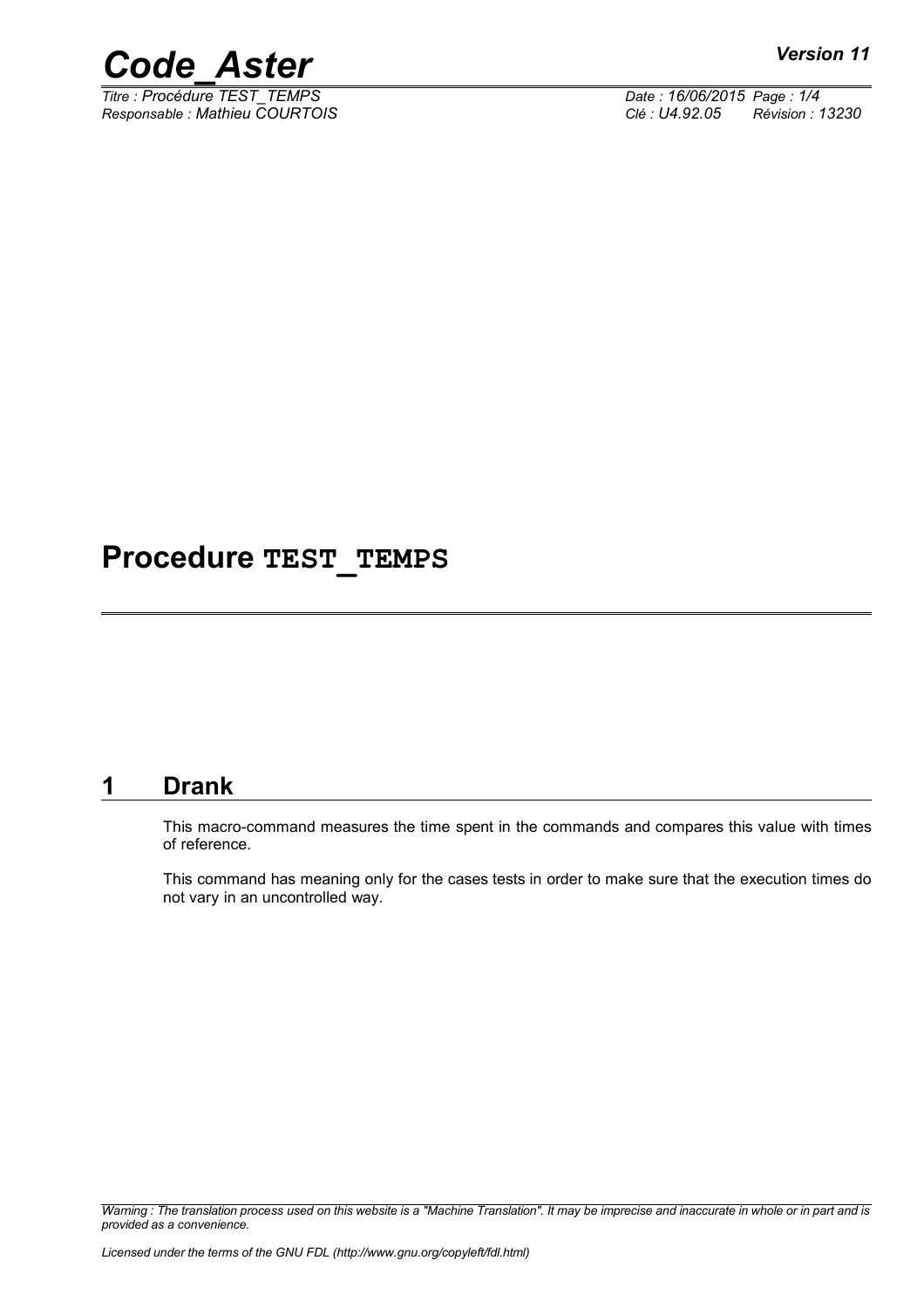

*Titre : Procédure TEST\_TEMPS Date : 16/06/2015 Page : 1/4 Responsable : Mathieu COURTOIS Clé : U4.92.05 Révision : 13230*

### **Procedure TEST\_TEMPS**

#### **1 Drank**

This macro-command measures the time spent in the commands and compares this value with times of reference.

This command has meaning only for the cases tests in order to make sure that the execution times do not vary in an uncontrolled way.

*Warning : The translation process used on this website is a "Machine Translation". It may be imprecise and inaccurate in whole or in part and is provided as a convenience.*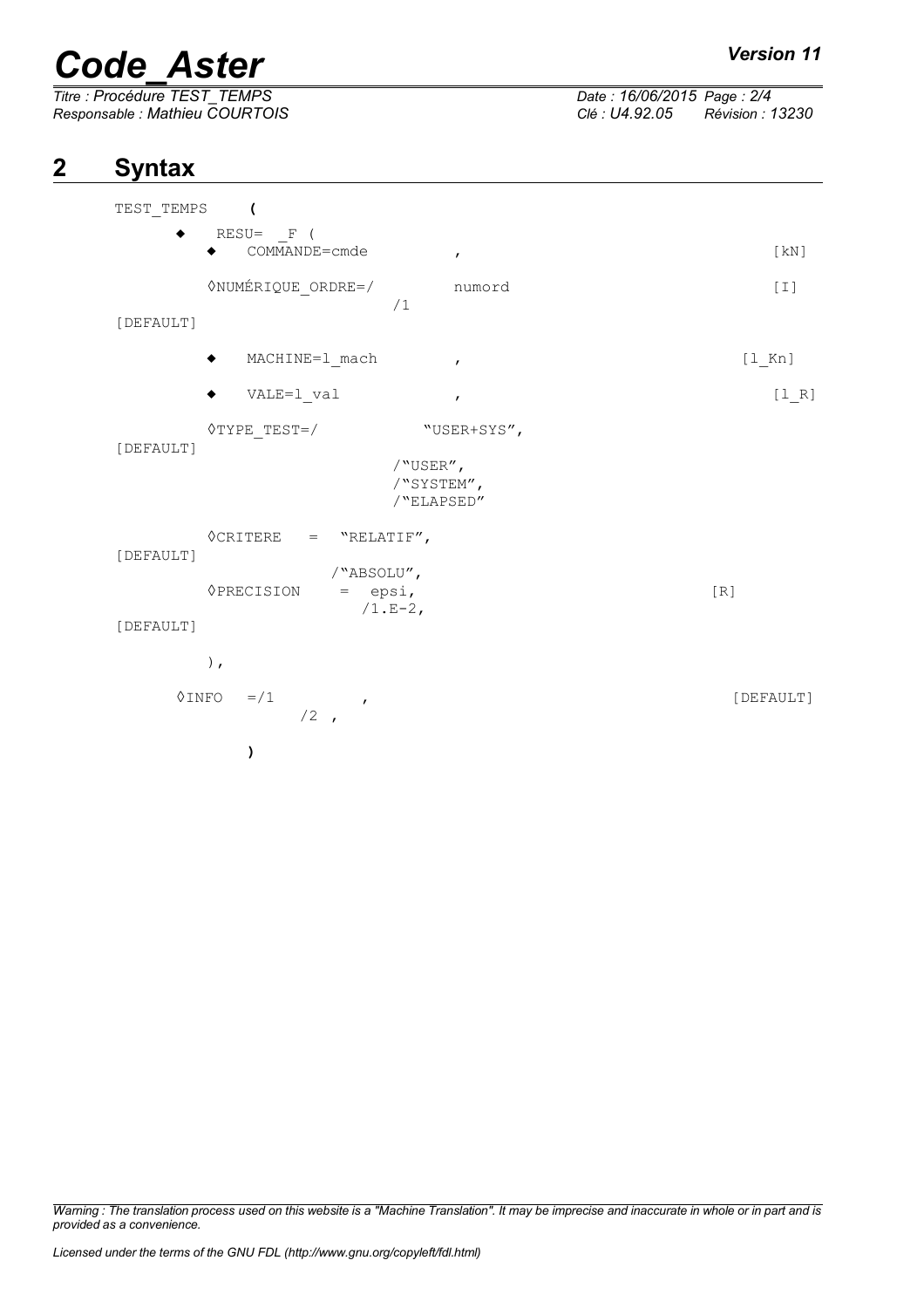# *Code\_Aster Version 11*<br> *Titre* : Procédure TEST TEMPS *Date* : 16/06/2015 Page : 2/4

*Titre : Procédure TEST\_TEMPS Date : 16/06/2015 Page : 2/4*

*Responsable : Mathieu COURTOIS Clé : U4.92.05 Révision : 13230*

### **2 Syntax**

| TEST TEMPS<br>$\overline{\phantom{a}}$                                                           |                                                     |           |
|--------------------------------------------------------------------------------------------------|-----------------------------------------------------|-----------|
| $RESU = \n\begin{bmatrix}\n-F & (E) \\ -F & (E)\n\end{bmatrix}$<br>COMMANDE=cmde                 | $\mathbf{r}$                                        | [KN]      |
| <b>ONUMÉRIQUE ORDRE=/</b><br>[DEFAULT]                                                           | numord<br>/1                                        | $[1]$     |
| MACHINE=1_mach                                                                                   | $\mathbf{r}$                                        | $[1$ Kn]  |
| VALE=1 val                                                                                       | $\mathbf{r}$                                        | $[1 R]$   |
| $\Diamond$ TYPE TEST=/<br>[DEFAULT]                                                              | "USER+SYS",<br>/"USER",<br>/"SYSTEM",<br>/"ELAPSED" |           |
| $\Diamond \texttt{CRITERE} = \texttt{"RELATIF",}$<br>[DEFAULT]<br><b>OPRECISION</b><br>[DEFAULT] | /"ABSOLU",<br>$=$ epsi,<br>$/1.E-2,$                | [R]       |
| $)$ ,<br>◊INFO<br>$=$ / 1<br>$/2$ ,                                                              | $\mathbf{r}$                                        | [DEFAULT] |
| )                                                                                                |                                                     |           |

*Warning : The translation process used on this website is a "Machine Translation". It may be imprecise and inaccurate in whole or in part and is provided as a convenience.*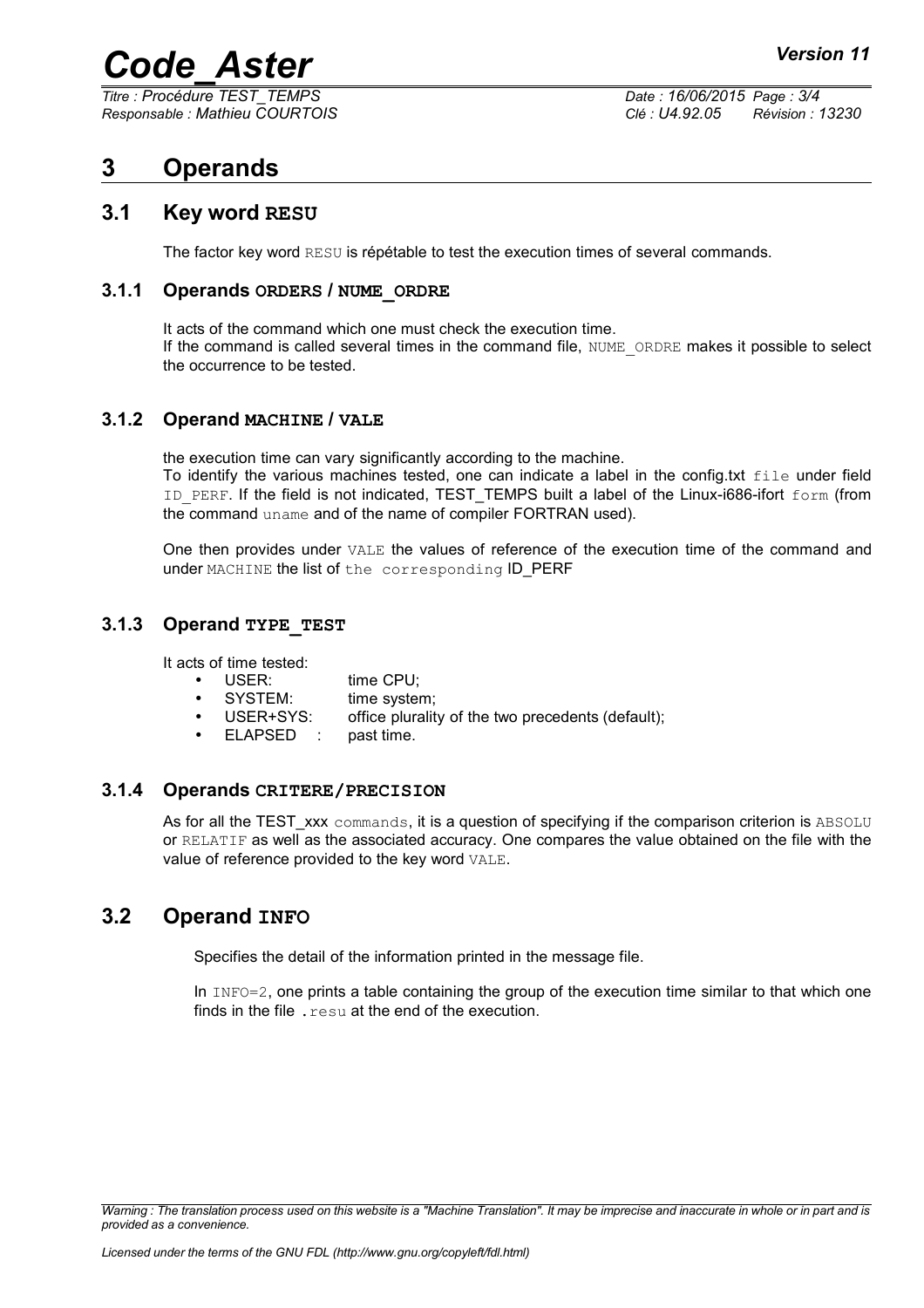### *Code\_Aster Version 11*

*Titre : Procédure TEST\_TEMPS Date : 16/06/2015 Page : 3/4*

*Responsable : Mathieu COURTOIS Clé : U4.92.05 Révision : 13230*

### **3 Operands**

#### **3.1 Key word RESU**

The factor key word RESU is répétable to test the execution times of several commands.

#### **3.1.1 Operands ORDERS / NUME\_ORDRE**

It acts of the command which one must check the execution time. If the command is called several times in the command file, NUME\_ORDRE makes it possible to select the occurrence to be tested.

#### **3.1.2 Operand MACHINE / VALE**

the execution time can vary significantly according to the machine.

To identify the various machines tested, one can indicate a label in the config.txt file under field ID PERF. If the field is not indicated, TEST\_TEMPS built a label of the Linux-i686-ifort form (from the command uname and of the name of compiler FORTRAN used).

One then provides under VALE the values of reference of the execution time of the command and under MACHINE the list of the corresponding ID PERF

#### **3.1.3 Operand TYPE\_TEST**

It acts of time tested:

- USER: time CPU:
- SYSTEM: time system;
- USER+SYS: office plurality of the two precedents (default);
- ELAPSED : past time.

#### **3.1.4 Operands CRITERE/PRECISION**

As for all the TEST xxx commands, it is a question of specifying if the comparison criterion is ABSOLU or RELATIF as well as the associated accuracy. One compares the value obtained on the file with the value of reference provided to the key word VALE.

#### **3.2 Operand INFO**

Specifies the detail of the information printed in the message file.

In  $INFO=2$ , one prints a table containing the group of the execution time similar to that which one finds in the file  $resu$  at the end of the execution.

*Warning : The translation process used on this website is a "Machine Translation". It may be imprecise and inaccurate in whole or in part and is provided as a convenience.*